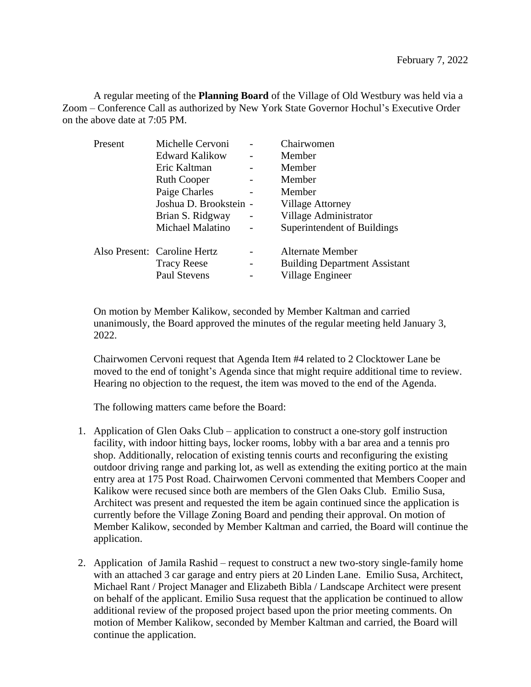A regular meeting of the **Planning Board** of the Village of Old Westbury was held via a Zoom – Conference Call as authorized by New York State Governor Hochul's Executive Order on the above date at 7:05 PM.

| Present | Michelle Cervoni             |   | Chairwomen                           |
|---------|------------------------------|---|--------------------------------------|
|         | Edward Kalikow               |   | Member                               |
|         | Eric Kaltman                 |   | Member                               |
|         | <b>Ruth Cooper</b>           |   | Member                               |
|         | Paige Charles                |   | Member                               |
|         | Joshua D. Brookstein -       |   | <b>Village Attorney</b>              |
|         | Brian S. Ridgway             |   | Village Administrator                |
|         | Michael Malatino             |   | Superintendent of Buildings          |
|         | Also Present: Caroline Hertz |   | Alternate Member                     |
|         | <b>Tracy Reese</b>           | - | <b>Building Department Assistant</b> |
|         | <b>Paul Stevens</b>          |   | Village Engineer                     |

On motion by Member Kalikow, seconded by Member Kaltman and carried unanimously, the Board approved the minutes of the regular meeting held January 3, 2022.

Chairwomen Cervoni request that Agenda Item #4 related to 2 Clocktower Lane be moved to the end of tonight's Agenda since that might require additional time to review. Hearing no objection to the request, the item was moved to the end of the Agenda.

The following matters came before the Board:

- 1. Application of Glen Oaks Club application to construct a one-story golf instruction facility, with indoor hitting bays, locker rooms, lobby with a bar area and a tennis pro shop. Additionally, relocation of existing tennis courts and reconfiguring the existing outdoor driving range and parking lot, as well as extending the exiting portico at the main entry area at 175 Post Road. Chairwomen Cervoni commented that Members Cooper and Kalikow were recused since both are members of the Glen Oaks Club. Emilio Susa, Architect was present and requested the item be again continued since the application is currently before the Village Zoning Board and pending their approval. On motion of Member Kalikow, seconded by Member Kaltman and carried, the Board will continue the application.
- 2. Application of Jamila Rashid request to construct a new two-story single-family home with an attached 3 car garage and entry piers at 20 Linden Lane. Emilio Susa, Architect, Michael Rant / Project Manager and Elizabeth Bibla / Landscape Architect were present on behalf of the applicant. Emilio Susa request that the application be continued to allow additional review of the proposed project based upon the prior meeting comments. On motion of Member Kalikow, seconded by Member Kaltman and carried, the Board will continue the application.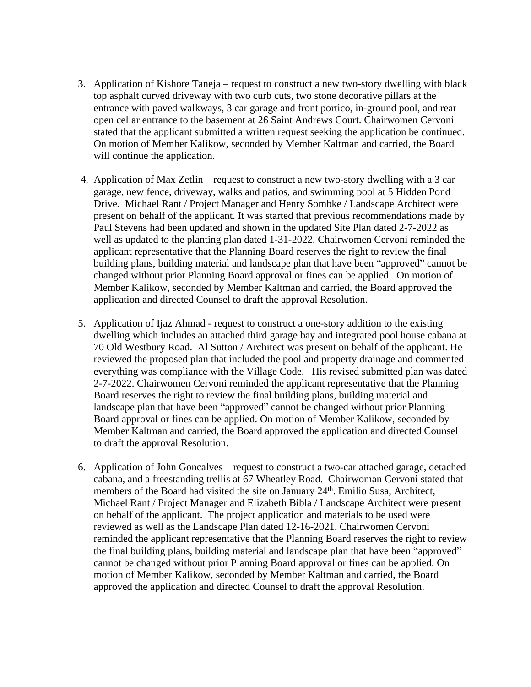- 3. Application of Kishore Taneja request to construct a new two-story dwelling with black top asphalt curved driveway with two curb cuts, two stone decorative pillars at the entrance with paved walkways, 3 car garage and front portico, in-ground pool, and rear open cellar entrance to the basement at 26 Saint Andrews Court. Chairwomen Cervoni stated that the applicant submitted a written request seeking the application be continued. On motion of Member Kalikow, seconded by Member Kaltman and carried, the Board will continue the application.
- 4. Application of Max Zetlin request to construct a new two-story dwelling with a 3 car garage, new fence, driveway, walks and patios, and swimming pool at 5 Hidden Pond Drive. Michael Rant / Project Manager and Henry Sombke / Landscape Architect were present on behalf of the applicant. It was started that previous recommendations made by Paul Stevens had been updated and shown in the updated Site Plan dated 2-7-2022 as well as updated to the planting plan dated 1-31-2022. Chairwomen Cervoni reminded the applicant representative that the Planning Board reserves the right to review the final building plans, building material and landscape plan that have been "approved" cannot be changed without prior Planning Board approval or fines can be applied. On motion of Member Kalikow, seconded by Member Kaltman and carried, the Board approved the application and directed Counsel to draft the approval Resolution.
- 5. Application of Ijaz Ahmad request to construct a one-story addition to the existing dwelling which includes an attached third garage bay and integrated pool house cabana at 70 Old Westbury Road. Al Sutton / Architect was present on behalf of the applicant. He reviewed the proposed plan that included the pool and property drainage and commented everything was compliance with the Village Code. His revised submitted plan was dated 2-7-2022. Chairwomen Cervoni reminded the applicant representative that the Planning Board reserves the right to review the final building plans, building material and landscape plan that have been "approved" cannot be changed without prior Planning Board approval or fines can be applied. On motion of Member Kalikow, seconded by Member Kaltman and carried, the Board approved the application and directed Counsel to draft the approval Resolution.
- 6. Application of John Goncalves request to construct a two-car attached garage, detached cabana, and a freestanding trellis at 67 Wheatley Road. Chairwoman Cervoni stated that members of the Board had visited the site on January 24<sup>th</sup>. Emilio Susa, Architect, Michael Rant / Project Manager and Elizabeth Bibla / Landscape Architect were present on behalf of the applicant. The project application and materials to be used were reviewed as well as the Landscape Plan dated 12-16-2021. Chairwomen Cervoni reminded the applicant representative that the Planning Board reserves the right to review the final building plans, building material and landscape plan that have been "approved" cannot be changed without prior Planning Board approval or fines can be applied. On motion of Member Kalikow, seconded by Member Kaltman and carried, the Board approved the application and directed Counsel to draft the approval Resolution.